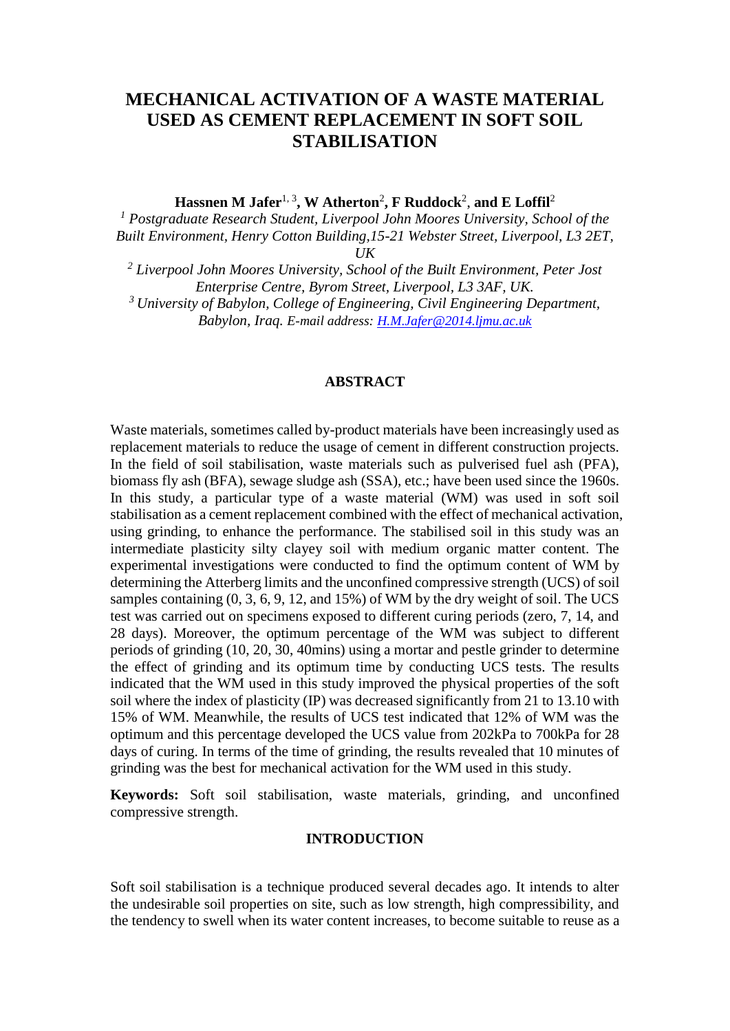# **MECHANICAL ACTIVATION OF A WASTE MATERIAL USED AS CEMENT REPLACEMENT IN SOFT SOIL STABILISATION**

Hassnen M Jafer<sup>1, 3</sup>, W Atherton<sup>2</sup>, F Ruddock<sup>2</sup>, and E Loffil<sup>2</sup>

*<sup>1</sup> Postgraduate Research Student, Liverpool John Moores University, School of the Built Environment, Henry Cotton Building,15-21 Webster Street, Liverpool, L3 2ET, UK*

*<sup>2</sup> Liverpool John Moores University, School of the Built Environment, Peter Jost Enterprise Centre, Byrom Street, Liverpool, L3 3AF, UK. <sup>3</sup>University of Babylon, College of Engineering, Civil Engineering Department, Babylon, Iraq. E-mail address: [H.M.Jafer@2014.ljmu.ac.uk](mailto:H.M.Jafer@2014.ljmu.ac.uk)*

### **ABSTRACT**

Waste materials, sometimes called by-product materials have been increasingly used as replacement materials to reduce the usage of cement in different construction projects. In the field of soil stabilisation, waste materials such as pulverised fuel ash (PFA), biomass fly ash (BFA), sewage sludge ash (SSA), etc.; have been used since the 1960s. In this study, a particular type of a waste material (WM) was used in soft soil stabilisation as a cement replacement combined with the effect of mechanical activation, using grinding, to enhance the performance. The stabilised soil in this study was an intermediate plasticity silty clayey soil with medium organic matter content. The experimental investigations were conducted to find the optimum content of WM by determining the Atterberg limits and the unconfined compressive strength (UCS) of soil samples containing (0, 3, 6, 9, 12, and 15%) of WM by the dry weight of soil. The UCS test was carried out on specimens exposed to different curing periods (zero, 7, 14, and 28 days). Moreover, the optimum percentage of the WM was subject to different periods of grinding (10, 20, 30, 40mins) using a mortar and pestle grinder to determine the effect of grinding and its optimum time by conducting UCS tests. The results indicated that the WM used in this study improved the physical properties of the soft soil where the index of plasticity (IP) was decreased significantly from 21 to 13.10 with 15% of WM. Meanwhile, the results of UCS test indicated that 12% of WM was the optimum and this percentage developed the UCS value from 202kPa to 700kPa for 28 days of curing. In terms of the time of grinding, the results revealed that 10 minutes of grinding was the best for mechanical activation for the WM used in this study.

**Keywords:** Soft soil stabilisation, waste materials, grinding, and unconfined compressive strength.

### **INTRODUCTION**

Soft soil stabilisation is a technique produced several decades ago. It intends to alter the undesirable soil properties on site, such as low strength, high compressibility, and the tendency to swell when its water content increases, to become suitable to reuse as a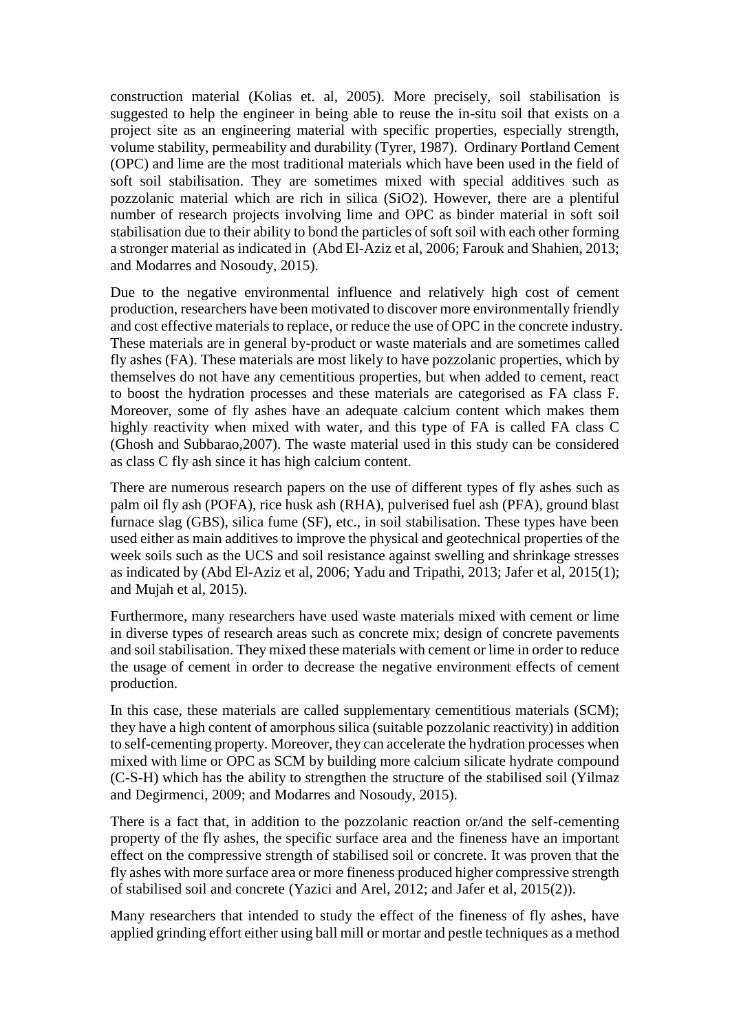construction material (Kolias et. al, 2005). More precisely, soil stabilisation is suggested to help the engineer in being able to reuse the in-situ soil that exists on a project site as an engineering material with specific properties, especially strength, volume stability, permeability and durability (Tyrer, 1987). Ordinary Portland Cement (OPC) and lime are the most traditional materials which have been used in the field of soft soil stabilisation. They are sometimes mixed with special additives such as pozzolanic material which are rich in silica (SiO2). However, there are a plentiful number of research projects involving lime and OPC as binder material in soft soil stabilisation due to their ability to bond the particles of soft soil with each other forming a stronger material as indicated in (Abd El-Aziz et al, 2006; Farouk and Shahien, 2013; and Modarres and Nosoudy, 2015).

Due to the negative environmental influence and relatively high cost of cement production, researchers have been motivated to discover more environmentally friendly and cost effective materials to replace, or reduce the use of OPC in the concrete industry. These materials are in general by-product or waste materials and are sometimes called fly ashes (FA). These materials are most likely to have pozzolanic properties, which by themselves do not have any cementitious properties, but when added to cement, react to boost the hydration processes and these materials are categorised as FA class F. Moreover, some of fly ashes have an adequate calcium content which makes them highly reactivity when mixed with water, and this type of FA is called FA class C (Ghosh and Subbarao,2007). The waste material used in this study can be considered as class C fly ash since it has high calcium content.

There are numerous research papers on the use of different types of fly ashes such as palm oil fly ash (POFA), rice husk ash (RHA), pulverised fuel ash (PFA), ground blast furnace slag (GBS), silica fume (SF), etc., in soil stabilisation. These types have been used either as main additives to improve the physical and geotechnical properties of the week soils such as the UCS and soil resistance against swelling and shrinkage stresses as indicated by (Abd El-Aziz et al, 2006; Yadu and Tripathi, 2013; Jafer et al, 2015(1); and Mujah et al, 2015).

Furthermore, many researchers have used waste materials mixed with cement or lime in diverse types of research areas such as concrete mix; design of concrete pavements and soil stabilisation. They mixed these materials with cement or lime in order to reduce the usage of cement in order to decrease the negative environment effects of cement production.

In this case, these materials are called supplementary cementitious materials (SCM); they have a high content of amorphous silica (suitable pozzolanic reactivity) in addition to self-cementing property. Moreover, they can accelerate the hydration processes when mixed with lime or OPC as SCM by building more calcium silicate hydrate compound (C-S-H) which has the ability to strengthen the structure of the stabilised soil (Yilmaz and Degirmenci, 2009; and Modarres and Nosoudy, 2015).

There is a fact that, in addition to the pozzolanic reaction or/and the self-cementing property of the fly ashes, the specific surface area and the fineness have an important effect on the compressive strength of stabilised soil or concrete. It was proven that the fly ashes with more surface area or more fineness produced higher compressive strength of stabilised soil and concrete (Yazici and Arel, 2012; and Jafer et al, 2015(2)).

Many researchers that intended to study the effect of the fineness of fly ashes, have applied grinding effort either using ball mill or mortar and pestle techniques as a method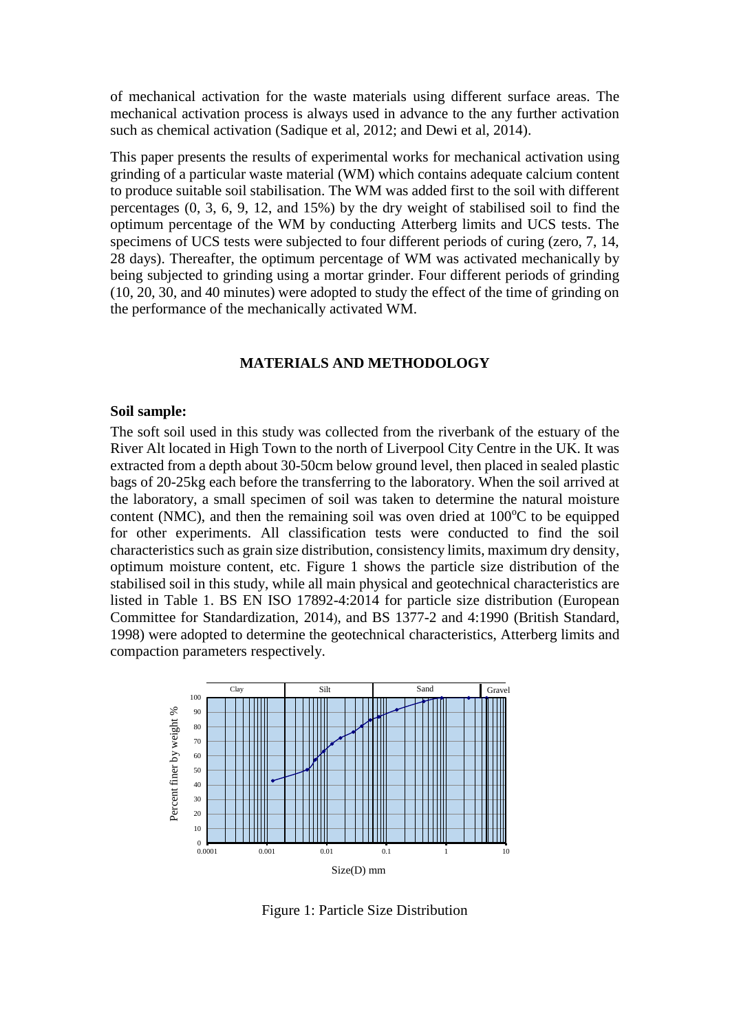of mechanical activation for the waste materials using different surface areas. The mechanical activation process is always used in advance to the any further activation such as chemical activation (Sadique et al, 2012; and Dewi et al, 2014).

This paper presents the results of experimental works for mechanical activation using grinding of a particular waste material (WM) which contains adequate calcium content to produce suitable soil stabilisation. The WM was added first to the soil with different percentages (0, 3, 6, 9, 12, and 15%) by the dry weight of stabilised soil to find the optimum percentage of the WM by conducting Atterberg limits and UCS tests. The specimens of UCS tests were subjected to four different periods of curing (zero, 7, 14, 28 days). Thereafter, the optimum percentage of WM was activated mechanically by being subjected to grinding using a mortar grinder. Four different periods of grinding (10, 20, 30, and 40 minutes) were adopted to study the effect of the time of grinding on the performance of the mechanically activated WM.

## **MATERIALS AND METHODOLOGY**

### **Soil sample:**

The soft soil used in this study was collected from the riverbank of the estuary of the River Alt located in High Town to the north of Liverpool City Centre in the UK. It was extracted from a depth about 30-50cm below ground level, then placed in sealed plastic bags of 20-25kg each before the transferring to the laboratory. When the soil arrived at the laboratory, a small specimen of soil was taken to determine the natural moisture content (NMC), and then the remaining soil was oven dried at  $100^{\circ}$ C to be equipped for other experiments. All classification tests were conducted to find the soil characteristics such as grain size distribution, consistency limits, maximum dry density, optimum moisture content, etc. Figure 1 shows the particle size distribution of the stabilised soil in this study, while all main physical and geotechnical characteristics are listed in Table 1. BS EN ISO 17892-4:2014 for particle size distribution (European Committee for Standardization, 2014), and BS 1377-2 and 4:1990 (British Standard, 1998) were adopted to determine the geotechnical characteristics, Atterberg limits and compaction parameters respectively.



Figure 1: Particle Size Distribution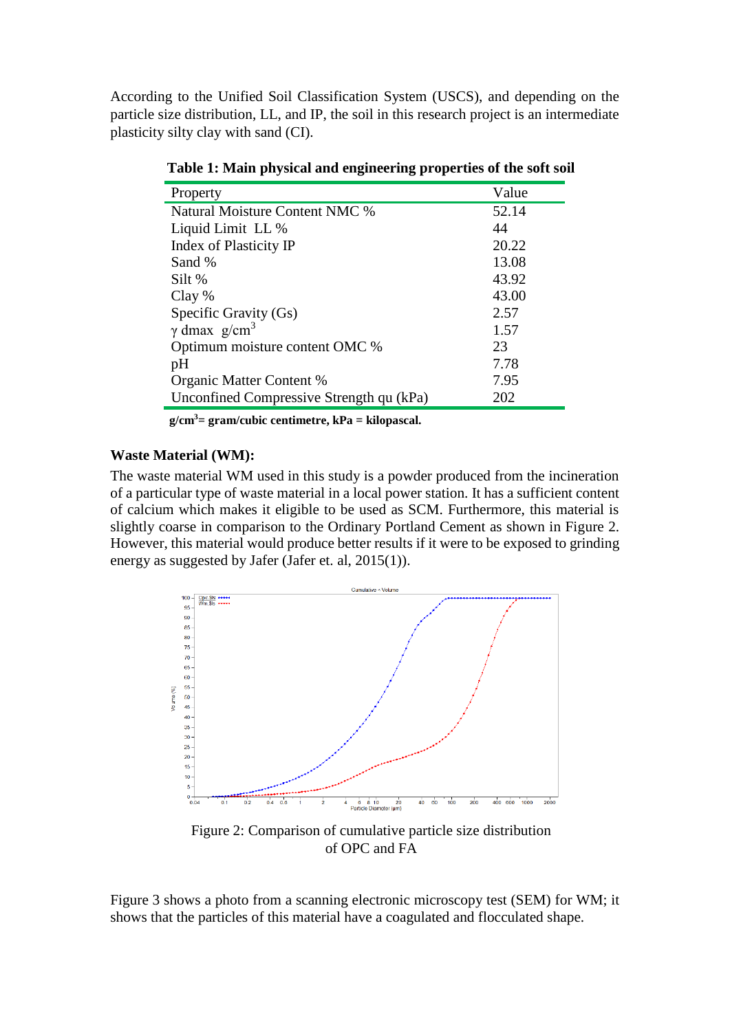According to the Unified Soil Classification System (USCS), and depending on the particle size distribution, LL, and IP, the soil in this research project is an intermediate plasticity silty clay with sand (CI).

| Property                                 | Value |
|------------------------------------------|-------|
| Natural Moisture Content NMC %           | 52.14 |
| Liquid Limit LL %                        | 44    |
| Index of Plasticity IP                   | 20.22 |
| Sand %                                   | 13.08 |
| Silt %                                   | 43.92 |
| Clay %                                   | 43.00 |
| Specific Gravity (Gs)                    | 2.57  |
| $\gamma$ dmax g/cm <sup>3</sup>          | 1.57  |
| Optimum moisture content OMC %           | 23    |
| pH                                       | 7.78  |
| Organic Matter Content %                 | 7.95  |
| Unconfined Compressive Strength qu (kPa) | 202   |

**Table 1: Main physical and engineering properties of the soft soil**

 **g/cm3= gram/cubic centimetre, kPa = kilopascal.**

### **Waste Material (WM):**

The waste material WM used in this study is a powder produced from the incineration of a particular type of waste material in a local power station. It has a sufficient content of calcium which makes it eligible to be used as SCM. Furthermore, this material is slightly coarse in comparison to the Ordinary Portland Cement as shown in Figure 2. However, this material would produce better results if it were to be exposed to grinding energy as suggested by Jafer (Jafer et. al, 2015(1)).



Figure 2: Comparison of cumulative particle size distribution of OPC and FA

Figure 3 shows a photo from a scanning electronic microscopy test (SEM) for WM; it shows that the particles of this material have a coagulated and flocculated shape.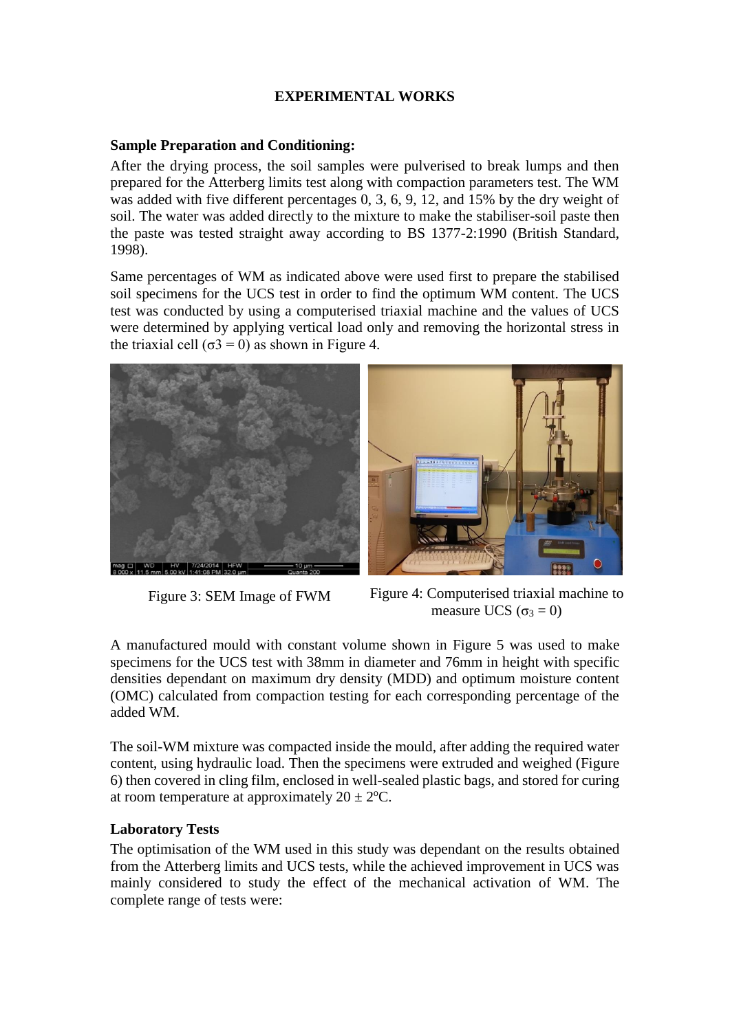## **EXPERIMENTAL WORKS**

### **Sample Preparation and Conditioning:**

After the drying process, the soil samples were pulverised to break lumps and then prepared for the Atterberg limits test along with compaction parameters test. The WM was added with five different percentages 0, 3, 6, 9, 12, and 15% by the dry weight of soil. The water was added directly to the mixture to make the stabiliser-soil paste then the paste was tested straight away according to BS 1377-2:1990 (British Standard, 1998).

Same percentages of WM as indicated above were used first to prepare the stabilised soil specimens for the UCS test in order to find the optimum WM content. The UCS test was conducted by using a computerised triaxial machine and the values of UCS were determined by applying vertical load only and removing the horizontal stress in the triaxial cell ( $\sigma$ 3 = 0) as shown in Figure 4.







Figure 3: SEM Image of FWM Figure 4: Computerised triaxial machine to measure UCS ( $\sigma_3 = 0$ )

A manufactured mould with constant volume shown in Figure 5 was used to make specimens for the UCS test with 38mm in diameter and 76mm in height with specific densities dependant on maximum dry density (MDD) and optimum moisture content (OMC) calculated from compaction testing for each corresponding percentage of the added WM.

The soil-WM mixture was compacted inside the mould, after adding the required water content, using hydraulic load. Then the specimens were extruded and weighed (Figure 6) then covered in cling film, enclosed in well-sealed plastic bags, and stored for curing at room temperature at approximately  $20 \pm 2$ <sup>o</sup>C.

## **Laboratory Tests**

The optimisation of the WM used in this study was dependant on the results obtained from the Atterberg limits and UCS tests, while the achieved improvement in UCS was mainly considered to study the effect of the mechanical activation of WM. The complete range of tests were: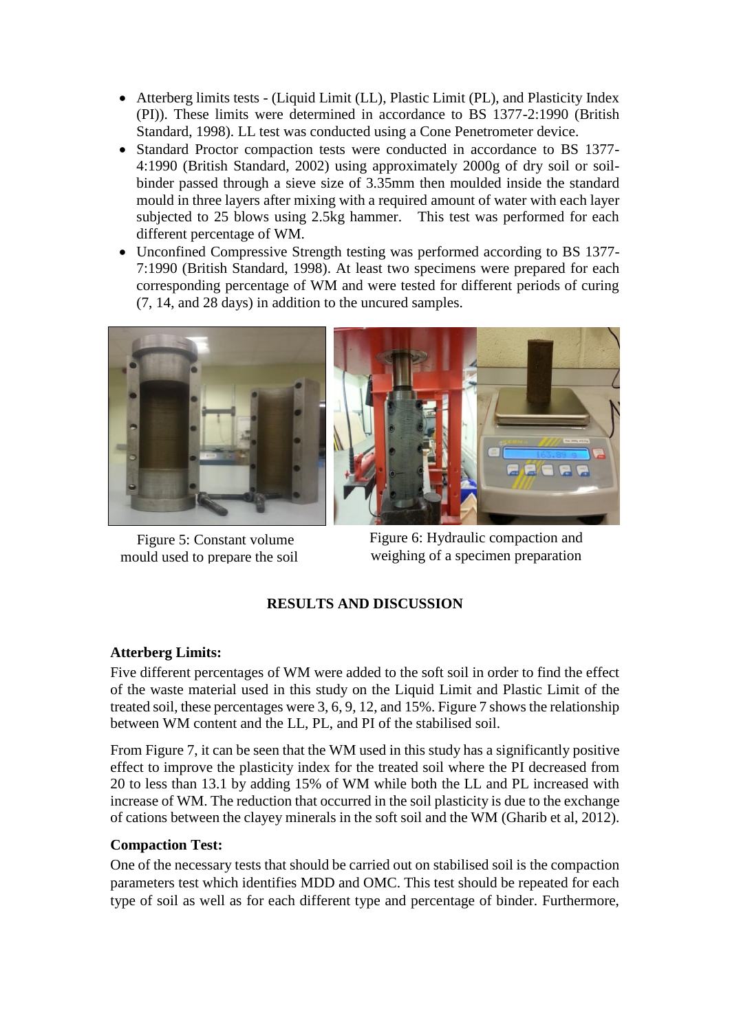- Atterberg limits tests (Liquid Limit (LL), Plastic Limit (PL), and Plasticity Index (PI)). These limits were determined in accordance to BS 1377-2:1990 (British Standard, 1998). LL test was conducted using a Cone Penetrometer device.
- Standard Proctor compaction tests were conducted in accordance to BS 1377-4:1990 (British Standard, 2002) using approximately 2000g of dry soil or soilbinder passed through a sieve size of 3.35mm then moulded inside the standard mould in three layers after mixing with a required amount of water with each layer subjected to 25 blows using 2.5kg hammer. This test was performed for each different percentage of WM.
- Unconfined Compressive Strength testing was performed according to BS 1377-7:1990 (British Standard, 1998). At least two specimens were prepared for each corresponding percentage of WM and were tested for different periods of curing (7, 14, and 28 days) in addition to the uncured samples.



Figure 5: Constant volume mould used to prepare the soil

Figure 6: Hydraulic compaction and weighing of a specimen preparation

## **RESULTS AND DISCUSSION**

## **Atterberg Limits:**

Five different percentages of WM were added to the soft soil in order to find the effect of the waste material used in this study on the Liquid Limit and Plastic Limit of the treated soil, these percentages were 3, 6, 9, 12, and 15%. Figure 7 shows the relationship between WM content and the LL, PL, and PI of the stabilised soil.

From Figure 7, it can be seen that the WM used in this study has a significantly positive effect to improve the plasticity index for the treated soil where the PI decreased from 20 to less than 13.1 by adding 15% of WM while both the LL and PL increased with increase of WM. The reduction that occurred in the soil plasticity is due to the exchange of cations between the clayey minerals in the soft soil and the WM (Gharib et al, 2012).

## **Compaction Test:**

One of the necessary tests that should be carried out on stabilised soil is the compaction parameters test which identifies MDD and OMC. This test should be repeated for each type of soil as well as for each different type and percentage of binder. Furthermore,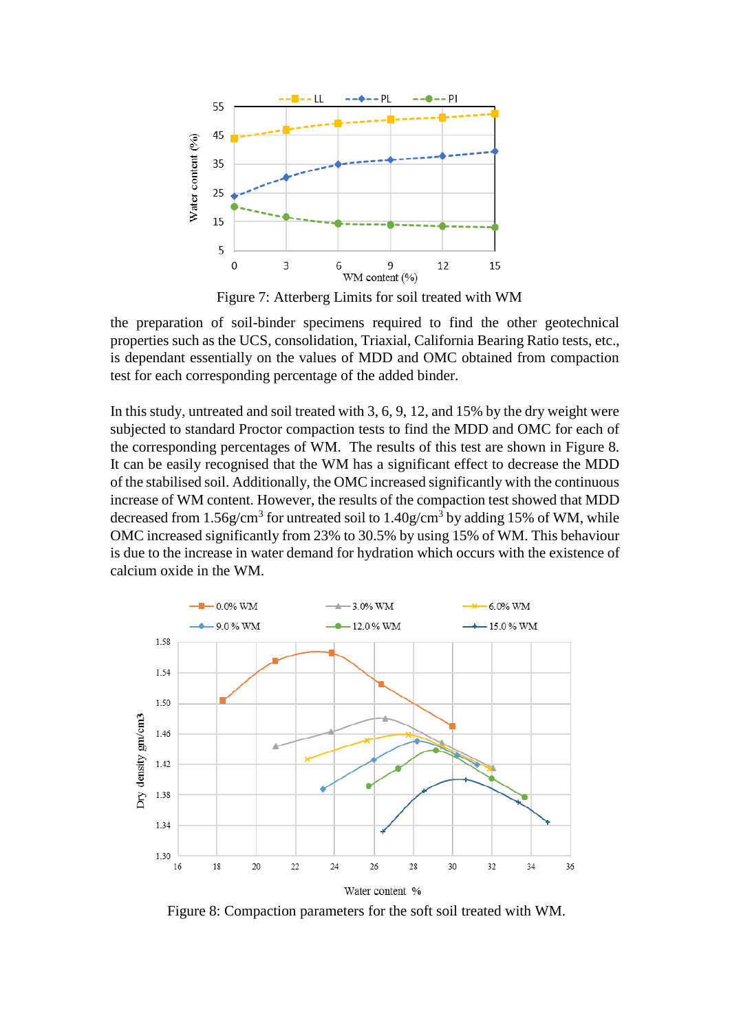

Figure 7: Atterberg Limits for soil treated with WM

the preparation of soil-binder specimens required to find the other geotechnical properties such as the UCS, consolidation, Triaxial, California Bearing Ratio tests, etc., is dependant essentially on the values of MDD and OMC obtained from compaction test for each corresponding percentage of the added binder.

In this study, untreated and soil treated with 3, 6, 9, 12, and 15% by the dry weight were subjected to standard Proctor compaction tests to find the MDD and OMC for each of the corresponding percentages of WM. The results of this test are shown in Figure 8. It can be easily recognised that the WM has a significant effect to decrease the MDD of the stabilised soil. Additionally, the OMC increased significantly with the continuous increase of WM content. However, the results of the compaction test showed that MDD decreased from 1.56g/cm<sup>3</sup> for untreated soil to 1.40g/cm<sup>3</sup> by adding 15% of WM, while OMC increased significantly from 23% to 30.5% by using 15% of WM. This behaviour is due to the increase in water demand for hydration which occurs with the existence of calcium oxide in the WM.



Figure 8: Compaction parameters for the soft soil treated with WM.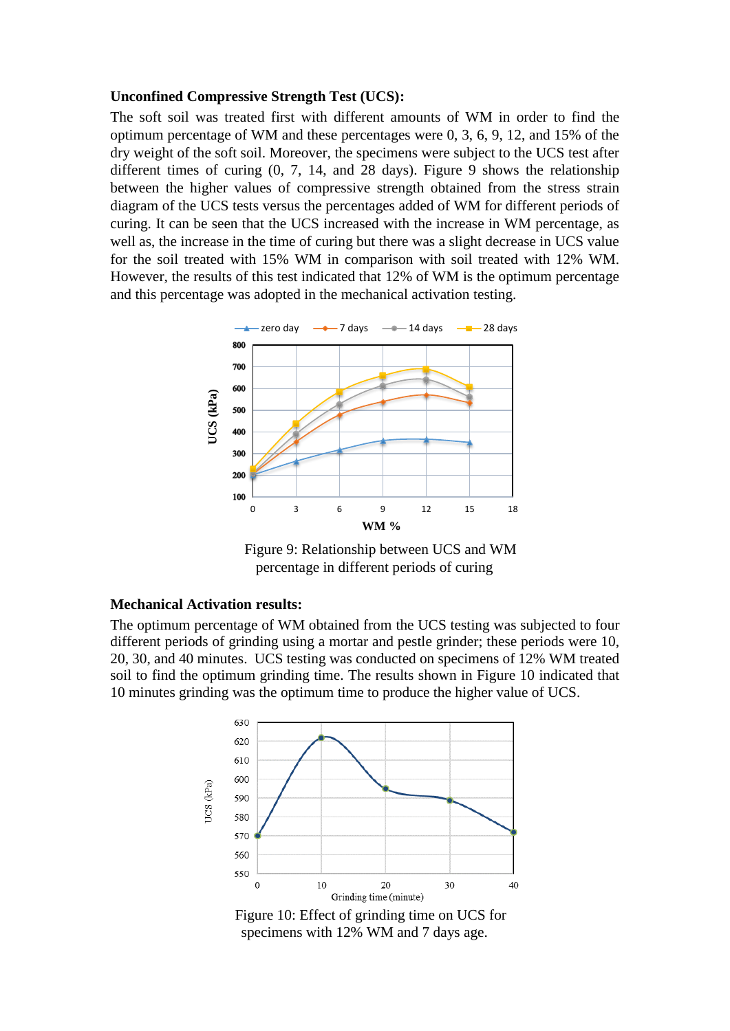### **Unconfined Compressive Strength Test (UCS):**

The soft soil was treated first with different amounts of WM in order to find the optimum percentage of WM and these percentages were 0, 3, 6, 9, 12, and 15% of the dry weight of the soft soil. Moreover, the specimens were subject to the UCS test after different times of curing (0, 7, 14, and 28 days). Figure 9 shows the relationship between the higher values of compressive strength obtained from the stress strain diagram of the UCS tests versus the percentages added of WM for different periods of curing. It can be seen that the UCS increased with the increase in WM percentage, as well as, the increase in the time of curing but there was a slight decrease in UCS value for the soil treated with 15% WM in comparison with soil treated with 12% WM. However, the results of this test indicated that 12% of WM is the optimum percentage and this percentage was adopted in the mechanical activation testing.



Figure 9: Relationship between UCS and WM percentage in different periods of curing

#### **Mechanical Activation results:**

The optimum percentage of WM obtained from the UCS testing was subjected to four different periods of grinding using a mortar and pestle grinder; these periods were 10, 20, 30, and 40 minutes. UCS testing was conducted on specimens of 12% WM treated soil to find the optimum grinding time. The results shown in Figure 10 indicated that 10 minutes grinding was the optimum time to produce the higher value of UCS.



Figure 10: Effect of grinding time on UCS for specimens with 12% WM and 7 days age.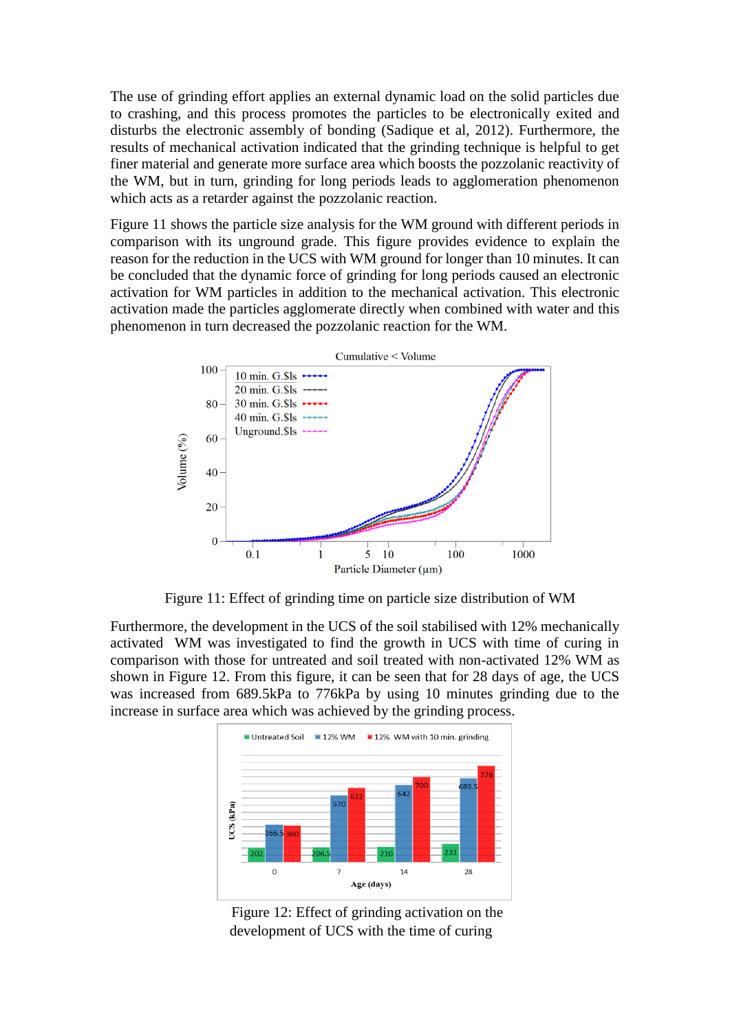The use of grinding effort applies an external dynamic load on the solid particles due to crashing, and this process promotes the particles to be electronically exited and disturbs the electronic assembly of bonding (Sadique et al, 2012). Furthermore, the results of mechanical activation indicated that the grinding technique is helpful to get finer material and generate more surface area which boosts the pozzolanic reactivity of the WM, but in turn, grinding for long periods leads to agglomeration phenomenon which acts as a retarder against the pozzolanic reaction.

Figure 11 shows the particle size analysis for the WM ground with different periods in comparison with its unground grade. This figure provides evidence to explain the reason for the reduction in the UCS with WM ground for longer than 10 minutes. It can be concluded that the dynamic force of grinding for long periods caused an electronic activation for WM particles in addition to the mechanical activation. This electronic activation made the particles agglomerate directly when combined with water and this phenomenon in turn decreased the pozzolanic reaction for the WM.



Figure 11: Effect of grinding time on particle size distribution of WM

Furthermore, the development in the UCS of the soil stabilised with 12% mechanically activated WM was investigated to find the growth in UCS with time of curing in comparison with those for untreated and soil treated with non-activated 12% WM as shown in Figure 12. From this figure, it can be seen that for 28 days of age, the UCS was increased from 689.5kPa to 776kPa by using 10 minutes grinding due to the increase in surface area which was achieved by the grinding process.



Figure 12: Effect of grinding activation on the development of UCS with the time of curing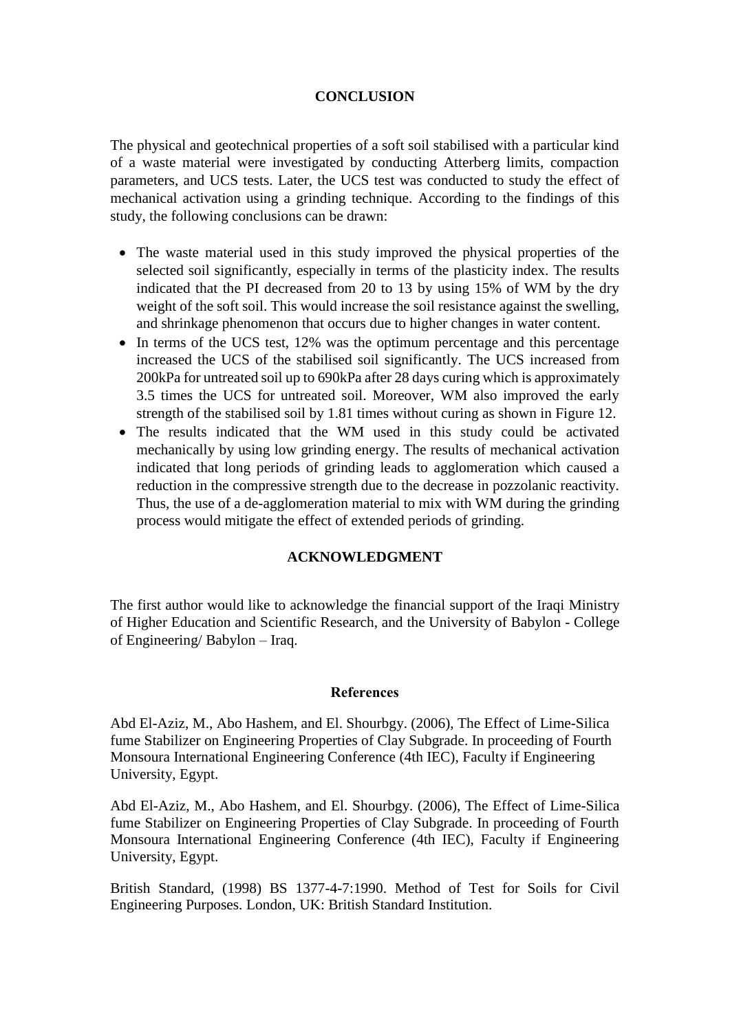## **CONCLUSION**

The physical and geotechnical properties of a soft soil stabilised with a particular kind of a waste material were investigated by conducting Atterberg limits, compaction parameters, and UCS tests. Later, the UCS test was conducted to study the effect of mechanical activation using a grinding technique. According to the findings of this study, the following conclusions can be drawn:

- The waste material used in this study improved the physical properties of the selected soil significantly, especially in terms of the plasticity index. The results indicated that the PI decreased from 20 to 13 by using 15% of WM by the dry weight of the soft soil. This would increase the soil resistance against the swelling, and shrinkage phenomenon that occurs due to higher changes in water content.
- In terms of the UCS test, 12% was the optimum percentage and this percentage increased the UCS of the stabilised soil significantly. The UCS increased from 200kPa for untreated soil up to 690kPa after 28 days curing which is approximately 3.5 times the UCS for untreated soil. Moreover, WM also improved the early strength of the stabilised soil by 1.81 times without curing as shown in Figure 12.
- The results indicated that the WM used in this study could be activated mechanically by using low grinding energy. The results of mechanical activation indicated that long periods of grinding leads to agglomeration which caused a reduction in the compressive strength due to the decrease in pozzolanic reactivity. Thus, the use of a de-agglomeration material to mix with WM during the grinding process would mitigate the effect of extended periods of grinding.

## **ACKNOWLEDGMENT**

The first author would like to acknowledge the financial support of the Iraqi Ministry of Higher Education and Scientific Research, and the University of Babylon - College of Engineering/ Babylon – Iraq.

### **References**

Abd El-Aziz, M., Abo Hashem, and El. Shourbgy. (2006), The Effect of Lime-Silica fume Stabilizer on Engineering Properties of Clay Subgrade. In proceeding of Fourth Monsoura International Engineering Conference (4th IEC), Faculty if Engineering University, Egypt.

Abd El-Aziz, M., Abo Hashem, and El. Shourbgy. (2006), The Effect of Lime-Silica fume Stabilizer on Engineering Properties of Clay Subgrade. In proceeding of Fourth Monsoura International Engineering Conference (4th IEC), Faculty if Engineering University, Egypt.

British Standard, (1998) BS 1377-4-7:1990. Method of Test for Soils for Civil Engineering Purposes. London, UK: British Standard Institution.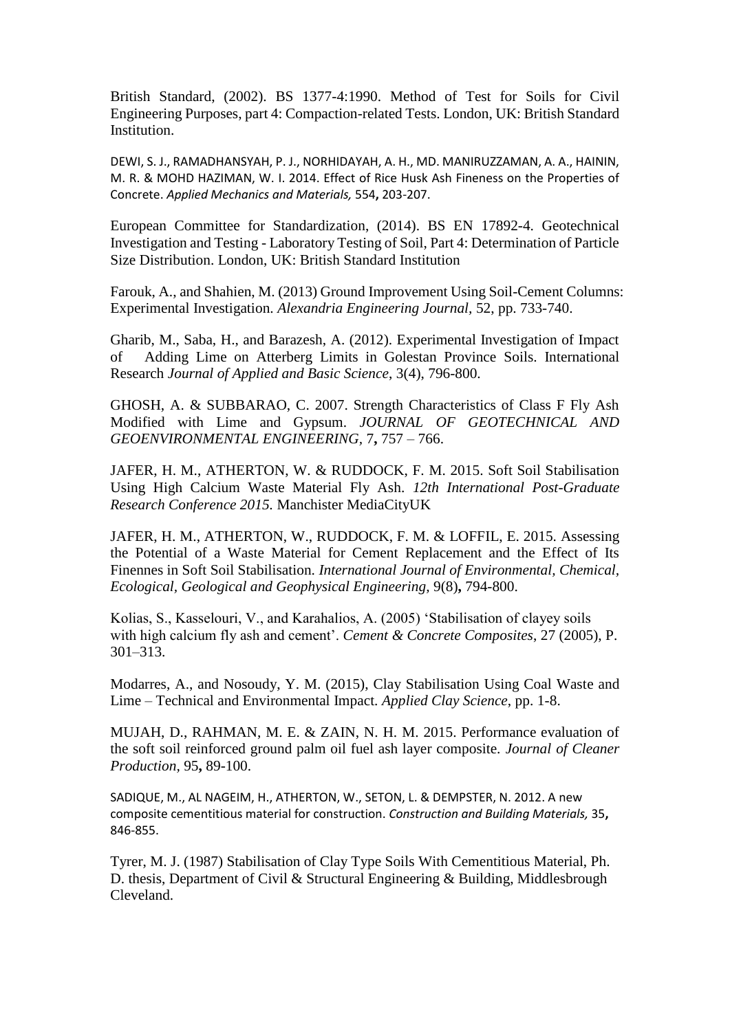British Standard, (2002). BS 1377-4:1990. Method of Test for Soils for Civil Engineering Purposes, part 4: Compaction-related Tests. London, UK: British Standard Institution.

DEWI, S. J., RAMADHANSYAH, P. J., NORHIDAYAH, A. H., MD. MANIRUZZAMAN, A. A., HAININ, M. R. & MOHD HAZIMAN, W. I. 2014. Effect of Rice Husk Ash Fineness on the Properties of Concrete. *Applied Mechanics and Materials,* 554**,** 203-207.

European Committee for Standardization, (2014). BS EN 17892-4. Geotechnical Investigation and Testing - Laboratory Testing of Soil, Part 4: Determination of Particle Size Distribution. London, UK: British Standard Institution

Farouk, A., and Shahien, M. (2013) Ground Improvement Using Soil-Cement Columns: Experimental Investigation. *Alexandria Engineering Journal,* 52, pp. 733-740.

Gharib, M., Saba, H., and Barazesh, A. (2012). Experimental Investigation of Impact of Adding Lime on Atterberg Limits in Golestan Province Soils. International Research *Journal of Applied and Basic Science*, 3(4), 796-800.

GHOSH, A. & SUBBARAO, C. 2007. Strength Characteristics of Class F Fly Ash Modified with Lime and Gypsum. *JOURNAL OF GEOTECHNICAL AND GEOENVIRONMENTAL ENGINEERING,* 7**,** 757 – 766.

JAFER, H. M., ATHERTON, W. & RUDDOCK, F. M. 2015. Soft Soil Stabilisation Using High Calcium Waste Material Fly Ash. *12th International Post-Graduate Research Conference 2015.* Manchister MediaCityUK

JAFER, H. M., ATHERTON, W., RUDDOCK, F. M. & LOFFIL, E. 2015. Assessing the Potential of a Waste Material for Cement Replacement and the Effect of Its Finennes in Soft Soil Stabilisation. *International Journal of Environmental, Chemical, Ecological, Geological and Geophysical Engineering,* 9(8)**,** 794-800.

Kolias, S., Kasselouri, V., and Karahalios, A. (2005) 'Stabilisation of clayey soils with high calcium fly ash and cement'. *Cement & Concrete Composites*, 27 (2005), P. 301–313.

Modarres, A., and Nosoudy, Y. M. (2015), Clay Stabilisation Using Coal Waste and Lime – Technical and Environmental Impact. *Applied Clay Science*, pp. 1-8.

MUJAH, D., RAHMAN, M. E. & ZAIN, N. H. M. 2015. Performance evaluation of the soft soil reinforced ground palm oil fuel ash layer composite. *Journal of Cleaner Production,* 95**,** 89-100.

SADIQUE, M., AL NAGEIM, H., ATHERTON, W., SETON, L. & DEMPSTER, N. 2012. A new composite cementitious material for construction. *Construction and Building Materials,* 35**,** 846-855.

Tyrer, M. J. (1987) Stabilisation of Clay Type Soils With Cementitious Material, Ph. D. thesis, Department of Civil & Structural Engineering & Building, Middlesbrough Cleveland.